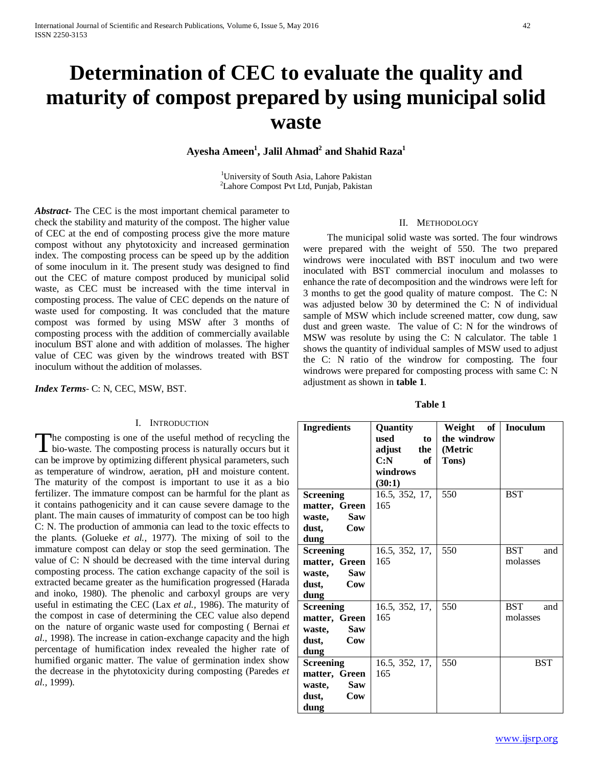# **Determination of CEC to evaluate the quality and maturity of compost prepared by using municipal solid waste**

 $\mathbf{A}$ yesha Ameen $^1$ , Jalil Ahmad $^2$  and Shahid Raza $^1$ 

<sup>1</sup>University of South Asia, Lahore Pakistan 2 Lahore Compost Pvt Ltd, Punjab, Pakistan

*Abstract***-** The CEC is the most important chemical parameter to check the stability and maturity of the compost. The higher value of CEC at the end of composting process give the more mature compost without any phytotoxicity and increased germination index. The composting process can be speed up by the addition of some inoculum in it. The present study was designed to find out the CEC of mature compost produced by municipal solid waste, as CEC must be increased with the time interval in composting process. The value of CEC depends on the nature of waste used for composting. It was concluded that the mature compost was formed by using MSW after 3 months of composting process with the addition of commercially available inoculum BST alone and with addition of molasses. The higher value of CEC was given by the windrows treated with BST inoculum without the addition of molasses.

*Index Terms*- C: N, CEC, MSW, BST.

### I. INTRODUCTION

he composting is one of the useful method of recycling the The composting is one of the useful method of recycling the bio-waste. The composting process is naturally occurs but it can be improve by optimizing different physical parameters, such as temperature of windrow, aeration, pH and moisture content. The maturity of the compost is important to use it as a bio fertilizer. The immature compost can be harmful for the plant as it contains pathogenicity and it can cause severe damage to the plant. The main causes of immaturity of compost can be too high C: N. The production of ammonia can lead to the toxic effects to the plants. (Golueke *et al.,* 1977). The mixing of soil to the immature compost can delay or stop the seed germination. The value of C: N should be decreased with the time interval during composting process. The cation exchange capacity of the soil is extracted became greater as the humification progressed (Harada and inoko, 1980). The phenolic and carboxyl groups are very useful in estimating the CEC (Lax *et al.,* 1986). The maturity of the compost in case of determining the CEC value also depend on the nature of organic waste used for composting ( Bernai *et al.,* 1998). The increase in cation-exchange capacity and the high percentage of humification index revealed the higher rate of humified organic matter. The value of germination index show the decrease in the phytotoxicity during composting (Paredes *et al.,* 1999).

## II. METHODOLOGY

 The municipal solid waste was sorted. The four windrows were prepared with the weight of 550. The two prepared windrows were inoculated with BST inoculum and two were inoculated with BST commercial inoculum and molasses to enhance the rate of decomposition and the windrows were left for 3 months to get the good quality of mature compost. The C: N was adjusted below 30 by determined the C: N of individual sample of MSW which include screened matter, cow dung, saw dust and green waste. The value of C: N for the windrows of MSW was resolute by using the C: N calculator. The table 1 shows the quantity of individual samples of MSW used to adjust the C: N ratio of the windrow for composting. The four windrows were prepared for composting process with same C: N adjustment as shown in **table 1**.

**Table 1**

| <b>Ingredients</b>                                                                          | Quantity<br>used<br>to<br>adjust<br>the<br>C: N<br>of<br>windrows<br>(30:1) | Weight<br>of<br>the windrow<br>(Metric<br>Tons) | <b>Inoculum</b>        |
|---------------------------------------------------------------------------------------------|-----------------------------------------------------------------------------|-------------------------------------------------|------------------------|
| <b>Screening</b><br>matter, Green<br><b>Saw</b><br>waste,<br>dust, Cow<br>dung              | 16.5, 352, 17,<br>165                                                       | 550                                             | <b>BST</b>             |
| <b>Screening</b><br>matter, Green<br>Saw<br>waste,<br>dust, Cow<br>dung                     | 16.5, 352, 17,<br>165                                                       | 550                                             | BST<br>and<br>molasses |
| <b>Screening</b><br>matter, Green<br><b>Saw</b><br>waste,<br>dust, Cow<br>dung              | 16.5, 352, 17,<br>165                                                       | 550                                             | BST<br>and<br>molasses |
| <b>Screening</b><br>matter, Green<br><b>Saw</b><br>waste,<br>dust,<br>$_{\rm{Cow}}$<br>dung | 16.5, 352, 17,<br>165                                                       | 550                                             | <b>BST</b>             |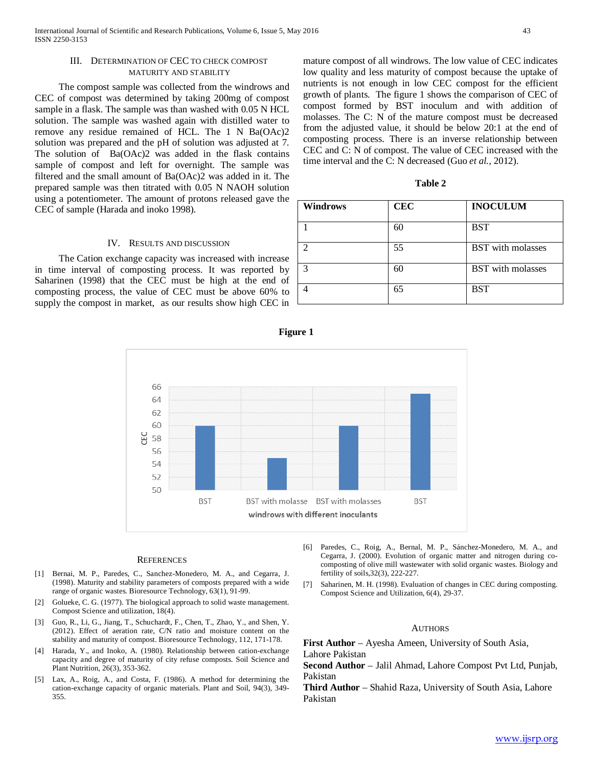## III. DETERMINATION OF CEC TO CHECK COMPOST MATURITY AND STABILITY

 The compost sample was collected from the windrows and CEC of compost was determined by taking 200mg of compost sample in a flask. The sample was than washed with 0.05 N HCL solution. The sample was washed again with distilled water to remove any residue remained of HCL. The 1 N Ba(OAc)2 solution was prepared and the pH of solution was adjusted at 7. The solution of Ba(OAc)2 was added in the flask contains sample of compost and left for overnight. The sample was filtered and the small amount of Ba(OAc)2 was added in it. The prepared sample was then titrated with 0.05 N NAOH solution using a potentiometer. The amount of protons released gave the CEC of sample (Harada and inoko 1998).

#### IV. RESULTS AND DISCUSSION

 The Cation exchange capacity was increased with increase in time interval of composting process. It was reported by Saharinen (1998) that the CEC must be high at the end of composting process, the value of CEC must be above 60% to supply the compost in market, as our results show high CEC in

mature compost of all windrows. The low value of CEC indicates low quality and less maturity of compost because the uptake of nutrients is not enough in low CEC compost for the efficient growth of plants. The figure 1 shows the comparison of CEC of compost formed by BST inoculum and with addition of molasses. The C: N of the mature compost must be decreased from the adjusted value, it should be below 20:1 at the end of composting process. There is an inverse relationship between CEC and C: N of compost. The value of CEC increased with the time interval and the C: N decreased (Guo *et al.,* 2012).

**Table 2**

| <b>Windrows</b>             | <b>CEC</b> | <b>INOCULUM</b>          |
|-----------------------------|------------|--------------------------|
|                             | 60         | <b>BST</b>               |
| $\mathcal{D}_{\mathcal{L}}$ | 55         | <b>BST</b> with molasses |
| $\mathcal{R}$               | 60         | <b>BST</b> with molasses |
|                             | 65         | <b>BST</b>               |



### **Figure 1**

#### **REFERENCES**

- [1] Bernai, M. P., Paredes, C., Sanchez-Monedero, M. A., and Cegarra, J. (1998). Maturity and stability parameters of composts prepared with a wide range of organic wastes. Bioresource Technology, 63(1), 91-99.
- [2] Golueke, C. G. (1977). The biological approach to solid waste management. Compost Science and utilization, 18(4).
- [3] Guo, R., Li, G., Jiang, T., Schuchardt, F., Chen, T., Zhao, Y., and Shen, Y. (2012). Effect of aeration rate, C/N ratio and moisture content on the stability and maturity of compost. Bioresource Technology, 112, 171-178.
- [4] Harada, Y., and Inoko, A. (1980). Relationship between cation-exchange capacity and degree of maturity of city refuse composts. Soil Science and Plant Nutrition, 26(3), 353-362.
- [5] Lax, A., Roig, A., and Costa, F. (1986). A method for determining the cation-exchange capacity of organic materials. Plant and Soil, 94(3), 349- 355.
- [6] Paredes, C., Roig, A., Bernal, M. P., Sánchez-Monedero, M. A., and Cegarra, J. (2000). Evolution of organic matter and nitrogen during cocomposting of olive mill wastewater with solid organic wastes. Biology and fertility of soils,32(3), 222-227.
- [7] Saharinen, M. H. (1998). Evaluation of changes in CEC during composting. Compost Science and Utilization, 6(4), 29-37.

### **AUTHORS**

**First Author** – Ayesha Ameen, University of South Asia, Lahore Pakistan

**Second Author** – Jalil Ahmad, Lahore Compost Pvt Ltd, Punjab, Pakistan

**Third Author** – Shahid Raza, University of South Asia, Lahore Pakistan